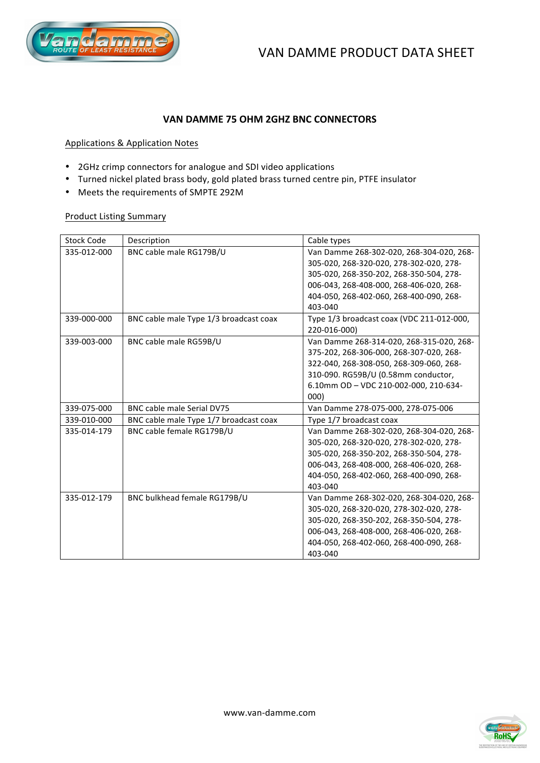

# **VAN!DAMME!75!OHM!2GHZ!BNC CONNECTORS**

## Applications & Application Notes

- 2GHz crimp connectors for analogue and SDI video applications
- Turned nickel plated brass body, gold plated brass turned centre pin, PTFE insulator
- Meets the requirements of SMPTE 292M

## Product Listing Summary

| <b>Stock Code</b> | Description                            | Cable types                               |
|-------------------|----------------------------------------|-------------------------------------------|
| 335-012-000       | BNC cable male RG179B/U                | Van Damme 268-302-020, 268-304-020, 268-  |
|                   |                                        | 305-020, 268-320-020, 278-302-020, 278-   |
|                   |                                        | 305-020, 268-350-202, 268-350-504, 278-   |
|                   |                                        | 006-043, 268-408-000, 268-406-020, 268-   |
|                   |                                        | 404-050, 268-402-060, 268-400-090, 268-   |
|                   |                                        | 403-040                                   |
| 339-000-000       | BNC cable male Type 1/3 broadcast coax | Type 1/3 broadcast coax (VDC 211-012-000, |
|                   |                                        | 220-016-000)                              |
| 339-003-000       | BNC cable male RG59B/U                 | Van Damme 268-314-020, 268-315-020, 268-  |
|                   |                                        | 375-202, 268-306-000, 268-307-020, 268-   |
|                   |                                        | 322-040, 268-308-050, 268-309-060, 268-   |
|                   |                                        | 310-090. RG59B/U (0.58mm conductor,       |
|                   |                                        | 6.10mm OD - VDC 210-002-000, 210-634-     |
|                   |                                        | 000)                                      |
| 339-075-000       | BNC cable male Serial DV75             | Van Damme 278-075-000, 278-075-006        |
| 339-010-000       | BNC cable male Type 1/7 broadcast coax | Type 1/7 broadcast coax                   |
| 335-014-179       | BNC cable female RG179B/U              | Van Damme 268-302-020, 268-304-020, 268-  |
|                   |                                        | 305-020, 268-320-020, 278-302-020, 278-   |
|                   |                                        | 305-020, 268-350-202, 268-350-504, 278-   |
|                   |                                        | 006-043, 268-408-000, 268-406-020, 268-   |
|                   |                                        | 404-050, 268-402-060, 268-400-090, 268-   |
|                   |                                        | 403-040                                   |
| 335-012-179       | BNC bulkhead female RG179B/U           | Van Damme 268-302-020, 268-304-020, 268-  |
|                   |                                        | 305-020, 268-320-020, 278-302-020, 278-   |
|                   |                                        | 305-020, 268-350-202, 268-350-504, 278-   |
|                   |                                        | 006-043, 268-408-000, 268-406-020, 268-   |
|                   |                                        | 404-050, 268-402-060, 268-400-090, 268-   |
|                   |                                        | 403-040                                   |

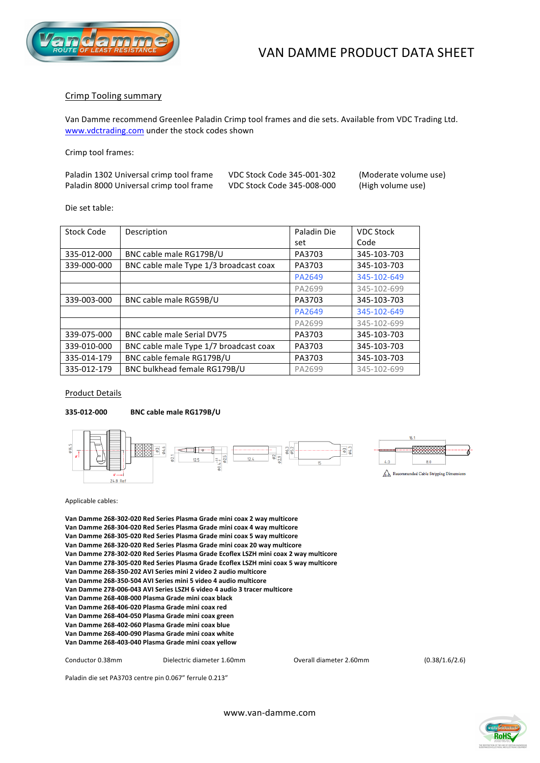



## Crimp Tooling summary

Van Damme recommend Greenlee Paladin Crimp tool frames and die sets. Available from VDC Trading Ltd. www.vdctrading.com under the stock codes shown

Crimp tool frames:

| Paladin 1302 Universal crimp tool frame | VDC Stock Code 345-001-302 | (Moderate volume use) |
|-----------------------------------------|----------------------------|-----------------------|
| Paladin 8000 Universal crimp tool frame | VDC Stock Code 345-008-000 | (High volume use)     |

Die set table:

| Stock Code  | Description                            | Paladin Die<br><b>VDC Stock</b> |             |  |
|-------------|----------------------------------------|---------------------------------|-------------|--|
|             |                                        | set                             | Code        |  |
| 335-012-000 | BNC cable male RG179B/U                | PA3703                          | 345-103-703 |  |
| 339-000-000 | BNC cable male Type 1/3 broadcast coax | PA3703<br>345-103-703           |             |  |
|             |                                        | PA2649                          | 345-102-649 |  |
|             |                                        | PA2699                          | 345-102-699 |  |
| 339-003-000 | BNC cable male RG59B/U                 | PA3703                          | 345-103-703 |  |
|             |                                        | PA2649                          | 345-102-649 |  |
|             |                                        | PA2699                          | 345-102-699 |  |
| 339-075-000 | BNC cable male Serial DV75             | PA3703                          | 345-103-703 |  |
| 339-010-000 | BNC cable male Type 1/7 broadcast coax | PA3703                          | 345-103-703 |  |
| 335-014-179 | BNC cable female RG179B/U              | PA3703                          | 345-103-703 |  |
| 335-012-179 | BNC bulkhead female RG179B/U           | PA2699                          | 345-102-699 |  |

Product Details

### **33550125000 BNC!cable!male!RG179B/U**



Applicable cables:

Van Damme 268-302-020 Red Series Plasma Grade mini coax 2 way multicore Van Damme 268-304-020 Red Series Plasma Grade mini coax 4 way multicore Van Damme 268-305-020 Red Series Plasma Grade mini coax 5 way multicore Van Damme 268-320-020 Red Series Plasma Grade mini coax 20 way multicore Van Damme 278-302-020 Red Series Plasma Grade Ecoflex LSZH mini coax 2 way multicore Van Damme 278-305-020 Red Series Plasma Grade Ecoflex LSZH mini coax 5 way multicore Van Damme 268-350-202 AVI Series mini 2 video 2 audio multicore Van Damme 268-350-504 AVI Series mini 5 video 4 audio multicore Van Damme 278-006-043 AVI Series LSZH 6 video 4 audio 3 tracer multicore Van Damme 268-408-000 Plasma Grade mini coax black Van Damme 268-406-020 Plasma Grade mini coax red Van Damme 268-404-050 Plasma Grade mini coax green Van Damme 268-402-060 Plasma Grade mini coax blue Van Damme 268-400-090 Plasma Grade mini coax white Van Damme 268-403-040 Plasma Grade mini coax yellow

Conductor 0.38mm Dielectric diameter 1.60mm Overall diameter 2.60mm (0.38/1.6/2.6)

Paladin die set PA3703 centre pin 0.067" ferrule 0.213"



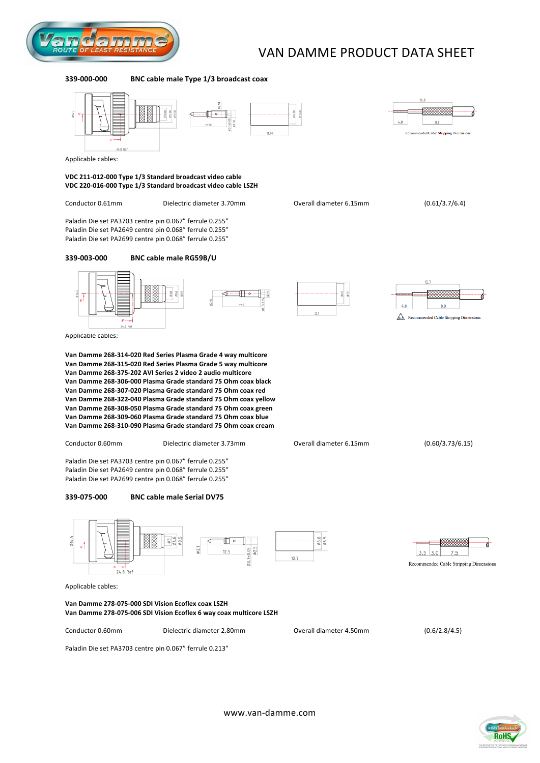

# VAN DAMME PRODUCT DATA SHEET

#### **339-000-000 BNC cable male Type 1/3 broadcast coax**





Applicable cables:

#### VDC 211-012-000 Type 1/3 Standard broadcast video cable VDC 220-016-000 Type 1/3 Standard broadcast video cable LSZH

Conductor 0.61mm Dielectric diameter 3.70mm Overall diameter 6.15mm (0.61/3.7/6.4)

Paladin Die set PA3703 centre pin 0.067" ferrule 0.255" Paladin Die set PA2649 centre pin 0.068" ferrule 0.255" Paladin Die set PA2699 centre pin 0.068" ferrule 0.255"

### **33950035000 BNC!cable!male!RG59B/U**



Applicable cables:

Van Damme 268-314-020 Red Series Plasma Grade 4 way multicore **Van!Damme!26853155020!Red!Series Plasma!Grade!5!way!multicore Van!Damme!26853755202!AVI!Series!2!video!2!audio!multicore** Van Damme 268-306-000 Plasma Grade standard 75 Ohm coax black Van Damme 268-307-020 Plasma Grade standard 75 Ohm coax red Van Damme 268-322-040 Plasma Grade standard 75 Ohm coax yellow Van Damme 268-308-050 Plasma Grade standard 75 Ohm coax green Van Damme 268-309-060 Plasma Grade standard 75 Ohm coax blue Van Damme 268-310-090 Plasma Grade standard 75 Ohm coax cream

Conductor 0.60mm Dielectric diameter 3.73mm Overall diameter 6.15mm (0.60/3.73/6.15)

Paladin Die set PA3703 centre pin 0.067" ferrule 0.255" Paladin Die set PA2649 centre pin 0.068" ferrule 0.255" Paladin Die set PA2699 centre pin 0.068" ferrule 0.255"

#### **33950755000 BNC!cable!male!Serial!DV75**



Applicable cables:

#### Van Damme 278-075-000 SDI Vision Ecoflex coax LSZH Van Damme 278-075-006 SDI Vision Ecoflex 6 way coax multicore LSZH

Paladin Die set PA3703 centre pin 0.067" ferrule 0.213"

Conductor 0.60mm Dielectric diameter 2.80mm Overall diameter 4.50mm (0.6/2.8/4.5)

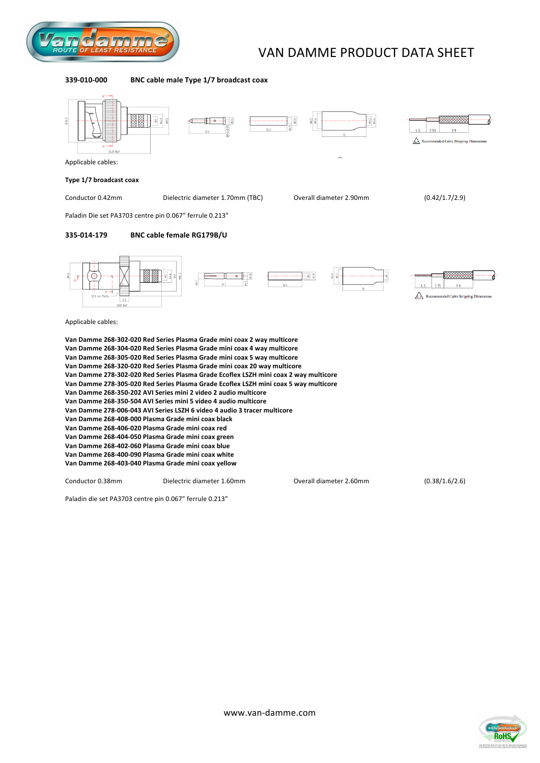

# VAN DAMME PRODUCT DATA SHEET

#### **339-010-000 BNC cable male Type 1/7 broadcast coax**



Paladin die set PA3703 centre pin 0.067" ferrule 0.213"